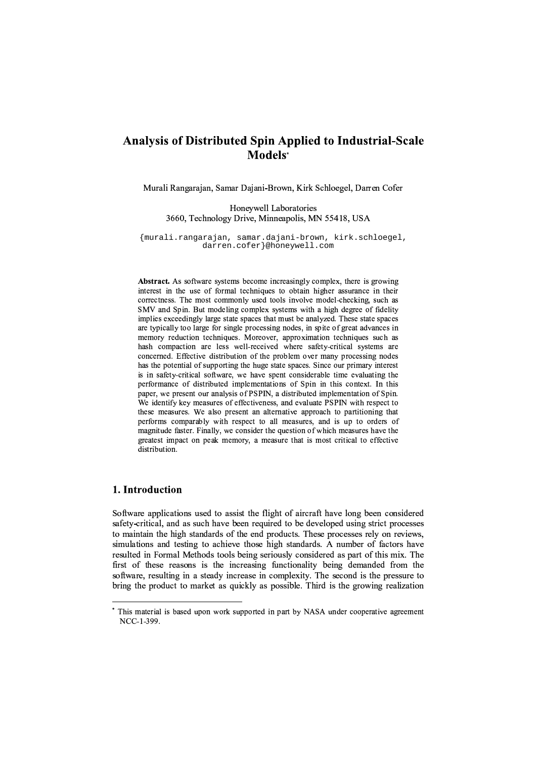# **Analysis of Distributed Spin Applied to Industrial-Scale** Models\*

Murali Rangarajan, Samar Dajani-Brown, Kirk Schloegel, Darren Cofer

Honeywell Laboratories 3660, Technology Drive, Minneapolis, MN 55418, USA

{murali.rangarajan, samar.dajani-brown, kirk.schloegel, darren.cofer @honeywell.com

Abstract. As software systems become increasingly complex, there is growing interest in the use of formal techniques to obtain higher assurance in their correctness. The most commonly used tools involve model-checking, such as SMV and Spin. But modeling complex systems with a high degree of fidelity implies exceedingly large state spaces that must be analyzed. These state spaces are typically too large for single processing nodes, in spite of great advances in memory reduction techniques. Moreover, approximation techniques such as hash compaction are less well-received where safety-critical systems are concerned. Effective distribution of the problem over many processing nodes has the potential of supporting the huge state spaces. Since our primary interest is in safety-critical software, we have spent considerable time evaluating the performance of distributed implementations of Spin in this context. In this paper, we present our analysis of PSPIN, a distributed implementation of Spin. We identify key measures of effectiveness, and evaluate PSPIN with respect to these measures. We also present an alternative approach to partitioning that performs comparably with respect to all measures, and is up to orders of magnitude faster. Finally, we consider the question of which measures have the greatest impact on peak memory, a measure that is most critical to effective distribution.

## 1. Introduction

Software applications used to assist the flight of aircraft have long been considered safety-critical, and as such have been required to be developed using strict processes to maintain the high standards of the end products. These processes rely on reviews, simulations and testing to achieve those high standards. A number of factors have resulted in Formal Methods tools being seriously considered as part of this mix. The first of these reasons is the increasing functionality being demanded from the software, resulting in a steady increase in complexity. The second is the pressure to bring the product to market as quickly as possible. Third is the growing realization

This material is based upon work supported in part by NASA under cooperative agreement **NCC-1-399**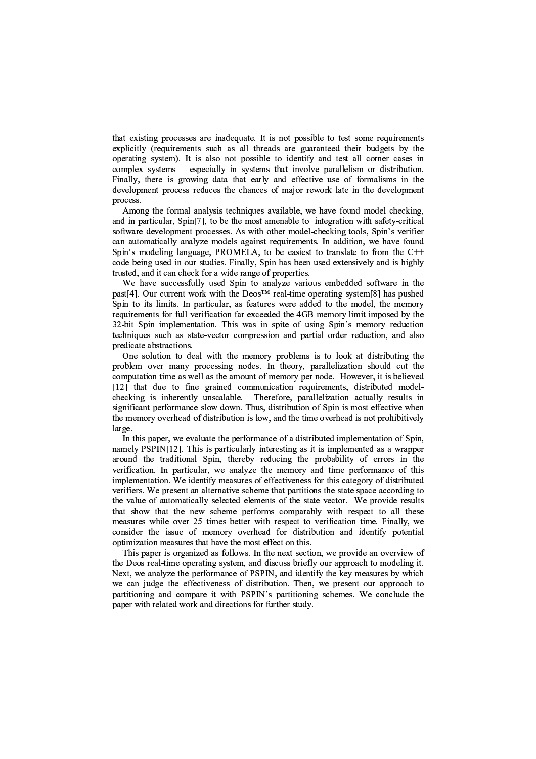that existing processes are inadequate. It is not possible to test some requirements explicitly (requirements such as all threads are guaranteed their budgets by the operating system). It is also not possible to identify and test all corner cases in complex systems – especially in systems that involve parallelism or distribution. Finally, there is growing data that early and effective use of formalisms in the development process reduces the chances of major rework late in the development process.

Among the formal analysis techniques available, we have found model checking, and in particular, Spin<sup>[7]</sup>, to be the most amenable to integration with safety-critical software development processes. As with other model-checking tools, Spin's verifier can automatically analyze models against requirements. In addition, we have found Spin's modeling language, PROMELA, to be easiest to translate to from the  $C++$ code being used in our studies. Finally, Spin has been used extensively and is highly trusted, and it can check for a wide range of properties.

We have successfully used Spin to analyze various embedded software in the past[4]. Our current work with the Deos™ real-time operating system[8] has pushed Spin to its limits. In particular, as features were added to the model, the memory requirements for full verification far exceeded the 4GB memory limit imposed by the 32-bit Spin implementation. This was in spite of using Spin's memory reduction techniques such as state-vector compression and partial order reduction, and also predicate abstractions.

One solution to deal with the memory problems is to look at distributing the problem over many processing nodes. In theory, parallelization should cut the computation time as well as the amount of memory per node. However, it is believed [12] that due to fine grained communication requirements, distributed model-Therefore, parallelization actually results in checking is inherently unscalable. significant performance slow down. Thus, distribution of Spin is most effective when the memory overhead of distribution is low, and the time overhead is not prohibitively large.

In this paper, we evaluate the performance of a distributed implementation of Spin, namely PSPIN[12]. This is particularly interesting as it is implemented as a wrapper around the traditional Spin, thereby reducing the probability of errors in the verification. In particular, we analyze the memory and time performance of this implementation. We identify measures of effectiveness for this category of distributed verifiers. We present an alternative scheme that partitions the state space according to the value of automatically selected elements of the state vector. We provide results that show that the new scheme performs comparably with respect to all these measures while over 25 times better with respect to verification time. Finally, we consider the issue of memory overhead for distribution and identify potential optimization measures that have the most effect on this.

This paper is organized as follows. In the next section, we provide an overview of the Deos real-time operating system, and discuss briefly our approach to modeling it. Next, we analyze the performance of PSPIN, and identify the key measures by which we can judge the effectiveness of distribution. Then, we present our approach to partitioning and compare it with PSPIN's partitioning schemes. We conclude the paper with related work and directions for further study.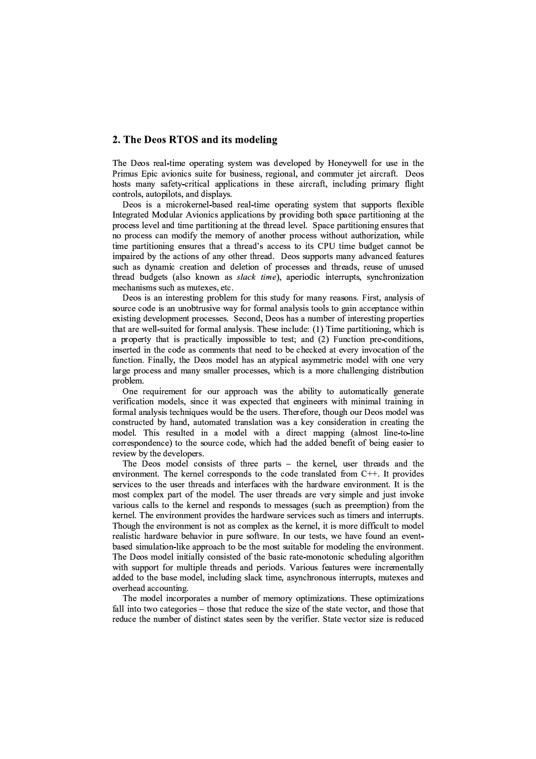## 2. The Deos RTOS and its modeling

The Deos real-time operating system was developed by Honeywell for use in the Primus Epic avionics suite for business, regional, and commuter jet aircraft. Deos hosts many safety-critical applications in these aircraft, including primary flight controls, autopilots, and displays.

Deos is a microkernel-based real-time operating system that supports flexible Integrated Modular Avionics applications by providing both space partitioning at the process level and time partitioning at the thread level. Space partitioning ensures that no process can modify the memory of another process without authorization, while time partitioning ensures that a thread's access to its CPU time budget cannot be impaired by the actions of any other thread. Deos supports many advanced features such as dynamic creation and deletion of processes and threads, reuse of unused thread budgets (also known as slack time), aperiodic interrupts, synchronization mechanisms such as mutexes, etc.

Deos is an interesting problem for this study for many reasons. First, analysis of source code is an unobtrusive way for formal analysis tools to gain acceptance within existing development processes. Second, Deos has a number of interesting properties that are well-suited for formal analysis. These include: (1) Time partitioning, which is a property that is practically impossible to test; and (2) Function pre-conditions, inserted in the code as comments that need to be checked at every invocation of the function. Finally, the Deos model has an atypical asymmetric model with one very large process and many smaller processes, which is a more challenging distribution problem.

One requirement for our approach was the ability to automatically generate verification models, since it was expected that engineers with minimal training in formal analysis techniques would be the users. Therefore, though our Deos model was constructed by hand, automated translation was a key consideration in creating the model. This resulted in a model with a direct mapping (almost line-to-line correspondence) to the source code, which had the added benefit of being easier to review by the developers.

The Deos model consists of three parts - the kernel, user threads and the environment. The kernel corresponds to the code translated from  $C++$ . It provides services to the user threads and interfaces with the hardware environment. It is the most complex part of the model. The user threads are very simple and just invoke various calls to the kernel and responds to messages (such as preemption) from the kernel. The environment provides the hardware services such as timers and interrupts. Though the environment is not as complex as the kernel, it is more difficult to model realistic hardware behavior in pure software. In our tests, we have found an eventbased simulation-like approach to be the most suitable for modeling the environment. The Deos model initially consisted of the basic rate-monotonic scheduling algorithm with support for multiple threads and periods. Various features were incrementally added to the base model, including slack time, asynchronous interrupts, mutexes and overhead accounting.

The model incorporates a number of memory optimizations. These optimizations fall into two categories – those that reduce the size of the state vector, and those that reduce the number of distinct states seen by the verifier. State vector size is reduced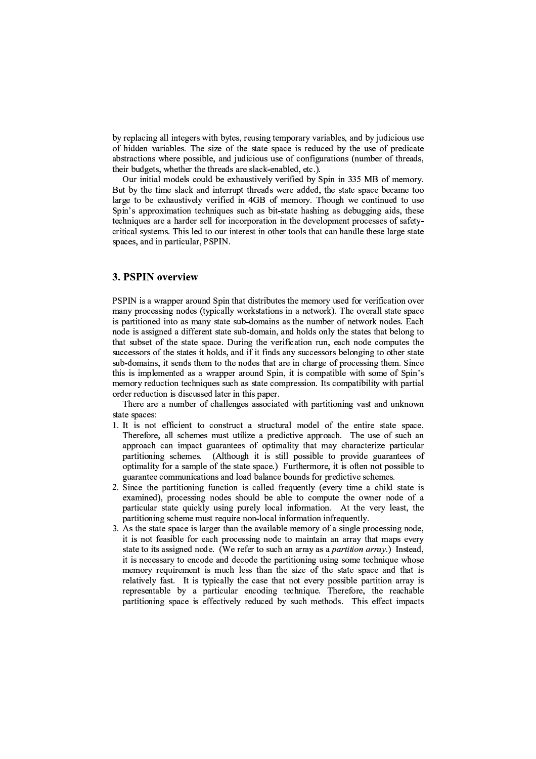by replacing all integers with bytes, reusing temporary variables, and by judicious use of hidden variables. The size of the state space is reduced by the use of predicate abstractions where possible, and judicious use of configurations (number of threads, their budgets, whether the threads are slack-enabled, etc.).

Our initial models could be exhaustively verified by Spin in 335 MB of memory. But by the time slack and interrupt threads were added, the state space became too large to be exhaustively verified in 4GB of memory. Though we continued to use Spin's approximation techniques such as bit-state hashing as debugging aids, these techniques are a harder sell for incorporation in the development processes of safetycritical systems. This led to our interest in other tools that can handle these large state spaces, and in particular, PSPIN.

## 3. PSPIN overview

PSPIN is a wrapper around Spin that distributes the memory used for verification over many processing nodes (typically workstations in a network). The overall state space is partitioned into as many state sub-domains as the number of network nodes. Each node is assigned a different state sub-domain, and holds only the states that belong to that subset of the state space. During the verification run, each node computes the successors of the states it holds, and if it finds any successors belonging to other state sub-domains, it sends them to the nodes that are in charge of processing them. Since this is implemented as a wrapper around Spin, it is compatible with some of Spin's memory reduction techniques such as state compression. Its compatibility with partial order reduction is discussed later in this paper.

There are a number of challenges associated with partitioning vast and unknown state spaces:

- 1. It is not efficient to construct a structural model of the entire state space. Therefore, all schemes must utilize a predictive approach. The use of such an approach can impact guarantees of optimality that may characterize particular partitioning schemes. (Although it is still possible to provide guarantees of optimality for a sample of the state space.) Furthermore, it is often not possible to guarantee communications and load balance bounds for predictive schemes.
- 2. Since the partitioning function is called frequently (every time a child state is examined), processing nodes should be able to compute the owner node of a particular state quickly using purely local information. At the very least, the partitioning scheme must require non-local information infrequently.
- 3. As the state space is larger than the available memory of a single processing node, it is not feasible for each processing node to maintain an array that maps every state to its assigned node. (We refer to such an array as a *partition array*.) Instead, it is necessary to encode and decode the partitioning using some technique whose memory requirement is much less than the size of the state space and that is relatively fast. It is typically the case that not every possible partition array is representable by a particular encoding technique. Therefore, the reachable partitioning space is effectively reduced by such methods. This effect impacts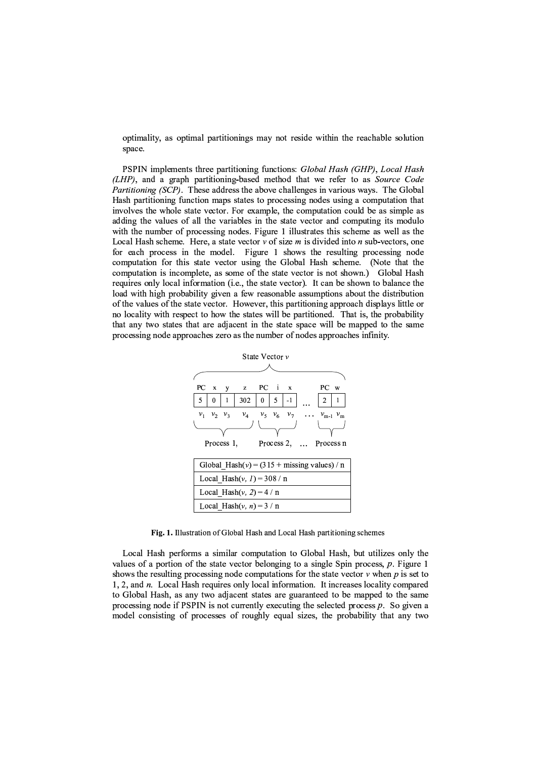optimality, as optimal partitionings may not reside within the reachable solution space.

PSPIN implements three partitioning functions: Global Hash (GHP), Local Hash (LHP), and a graph partitioning-based method that we refer to as Source Code Partitioning (SCP). These address the above challenges in various ways. The Global Hash partitioning function maps states to processing nodes using a computation that involves the whole state vector. For example, the computation could be as simple as adding the values of all the variables in the state vector and computing its modulo with the number of processing nodes. Figure 1 illustrates this scheme as well as the Local Hash scheme. Here, a state vector  $v$  of size  $m$  is divided into  $n$  sub-vectors, one for each process in the model. Figure 1 shows the resulting processing node computation for this state vector using the Global Hash scheme. (Note that the computation is incomplete, as some of the state vector is not shown.) Global Hash requires only local information (i.e., the state vector). It can be shown to balance the load with high probability given a few reasonable assumptions about the distribution of the values of the state vector. However, this partitioning approach displays little or no locality with respect to how the states will be partitioned. That is, the probability that any two states that are adjacent in the state space will be mapped to the same processing node approaches zero as the number of nodes approaches infinity.



Fig. 1. Illustration of Global Hash and Local Hash partitioning schemes

Local Hash performs a similar computation to Global Hash, but utilizes only the values of a portion of the state vector belonging to a single Spin process,  $p$ . Figure 1 shows the resulting processing node computations for the state vector  $\nu$  when p is set to 1, 2, and  $n$ . Local Hash requires only local information. It increases locality compared to Global Hash, as any two adjacent states are guaranteed to be mapped to the same processing node if PSPIN is not currently executing the selected process  $p$ . So given a model consisting of processes of roughly equal sizes, the probability that any two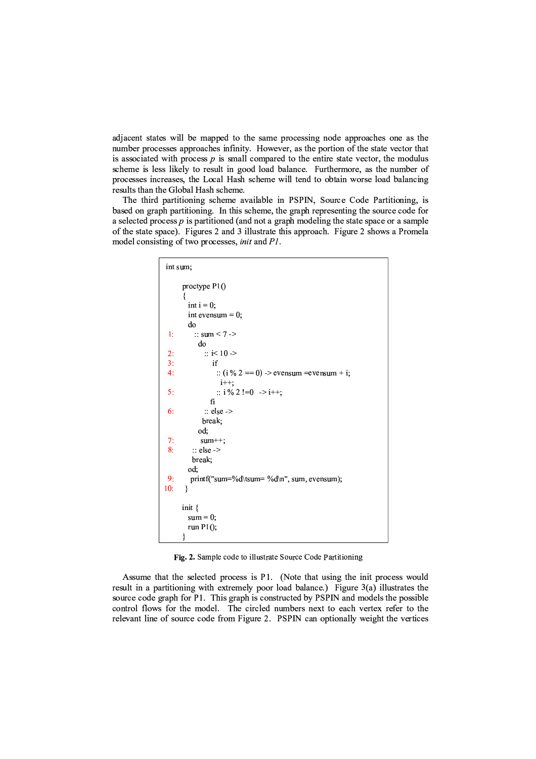adjacent states will be mapped to the same processing node approaches one as the number processes approaches infinity. However, as the portion of the state vector that is associated with process  $p$  is small compared to the entire state vector, the modulus scheme is less likely to result in good load balance. Furthermore, as the number of processes increases, the Local Hash scheme will tend to obtain worse load balancing results than the Global Hash scheme.

The third partitioning scheme available in PSPIN, Source Code Partitioning, is based on graph partitioning. In this scheme, the graph representing the source code for a selected process  $p$  is partitioned (and not a graph modeling the state space or a sample of the state space). Figures 2 and 3 illustrate this approach. Figure 2 shows a Promela model consisting of two processes, *init* and P1.



Fig. 2. Sample code to illustrate Source Code Partitioning

Assume that the selected process is P1. (Note that using the init process would result in a partitioning with extremely poor load balance.) Figure 3(a) illustrates the source code graph for P1. This graph is constructed by PSPIN and models the possible control flows for the model. The circled numbers next to each vertex refer to the relevant line of source code from Figure 2. PSPIN can optionally weight the vertices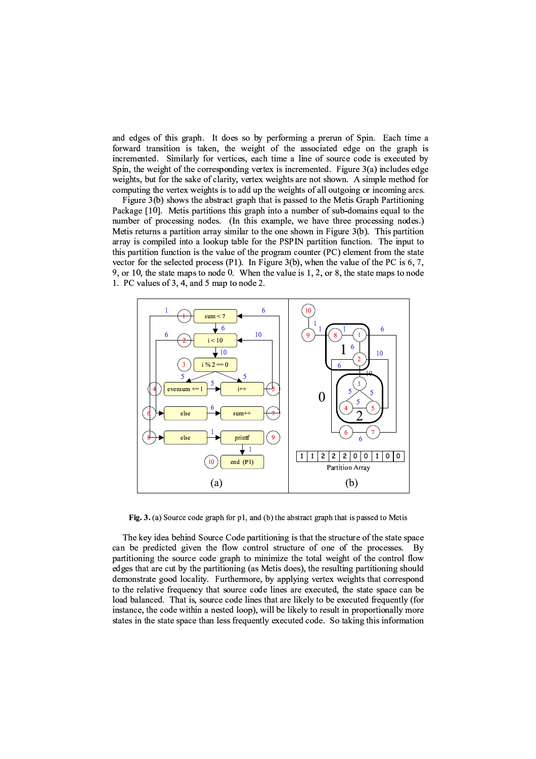and edges of this graph. It does so by performing a prerun of Spin. Each time a forward transition is taken, the weight of the associated edge on the graph is incremented. Similarly for vertices, each time a line of source code is executed by Spin, the weight of the corresponding vertex is incremented. Figure  $3(a)$  includes edge weights, but for the sake of clarity, vertex weights are not shown. A simple method for computing the vertex weights is to add up the weights of all outgoing or incoming arcs.

Figure 3(b) shows the abstract graph that is passed to the Metis Graph Partitioning Package [10]. Metis partitions this graph into a number of sub-domains equal to the number of processing nodes. (In this example, we have three processing nodes.) Metis returns a partition array similar to the one shown in Figure 3(b). This partition array is compiled into a lookup table for the PSPIN partition function. The input to this partition function is the value of the program counter (PC) element from the state vector for the selected process  $(P1)$ . In Figure 3(b), when the value of the PC is 6, 7, 9, or 10, the state maps to node 0. When the value is 1, 2, or 8, the state maps to node 1. PC values of 3, 4, and 5 map to node 2.



Fig. 3. (a) Source code graph for p1, and (b) the abstract graph that is passed to Metis

The key idea behind Source Code partitioning is that the structure of the state space can be predicted given the flow control structure of one of the processes. By partitioning the source code graph to minimize the total weight of the control flow edges that are cut by the partitioning (as Metis does), the resulting partitioning should demonstrate good locality. Furthermore, by applying vertex weights that correspond to the relative frequency that source code lines are executed, the state space can be load balanced. That is, source code lines that are likely to be executed frequently (for instance, the code within a nested loop), will be likely to result in proportionally more states in the state space than less frequently executed code. So taking this information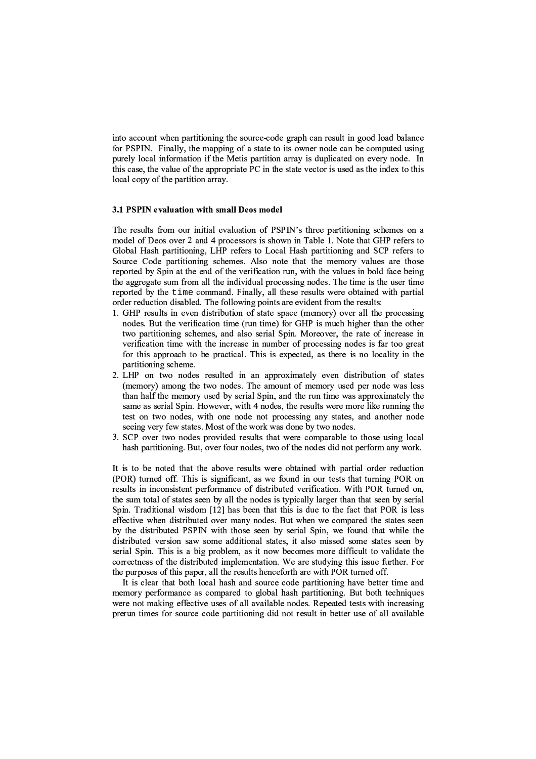into account when partitioning the source-code graph can result in good load balance for PSPIN. Finally, the mapping of a state to its owner node can be computed using purely local information if the Metis partition array is duplicated on every node. In this case, the value of the appropriate PC in the state vector is used as the index to this local copy of the partition array.

#### 3.1 PSPIN evaluation with small Deos model

The results from our initial evaluation of PSPIN's three partitioning schemes on a model of Deos over 2 and 4 processors is shown in Table 1. Note that GHP refers to Global Hash partitioning, LHP refers to Local Hash partitioning and SCP refers to Source Code partitioning schemes. Also note that the memory values are those reported by Spin at the end of the verification run, with the values in bold face being the aggregate sum from all the individual processing nodes. The time is the user time reported by the time command. Finally, all these results were obtained with partial order reduction disabled. The following points are evident from the results:

- 1. GHP results in even distribution of state space (memory) over all the processing nodes. But the verification time (run time) for GHP is much higher than the other two partitioning schemes, and also serial Spin. Moreover, the rate of increase in verification time with the increase in number of processing nodes is far too great for this approach to be practical. This is expected, as there is no locality in the partitioning scheme.
- 2. LHP on two nodes resulted in an approximately even distribution of states (memory) among the two nodes. The amount of memory used per node was less than half the memory used by serial Spin, and the run time was approximately the same as serial Spin. However, with 4 nodes, the results were more like running the test on two nodes, with one node not processing any states, and another node seeing very few states. Most of the work was done by two nodes.
- 3. SCP over two nodes provided results that were comparable to those using local hash partitioning. But, over four nodes, two of the nodes did not perform any work.

It is to be noted that the above results were obtained with partial order reduction (POR) turned off. This is significant, as we found in our tests that turning POR on results in inconsistent performance of distributed verification. With POR turned on, the sum total of states seen by all the nodes is typically larger than that seen by serial Spin. Traditional wisdom [12] has been that this is due to the fact that POR is less effective when distributed over many nodes. But when we compared the states seen by the distributed PSPIN with those seen by serial Spin, we found that while the distributed version saw some additional states, it also missed some states seen by serial Spin. This is a big problem, as it now becomes more difficult to validate the correctness of the distributed implementation. We are studying this issue further. For the purposes of this paper, all the results henceforth are with POR turned off.

It is clear that both local hash and source code partitioning have better time and memory performance as compared to global hash partitioning. But both techniques were not making effective uses of all available nodes. Repeated tests with increasing prerun times for source code partitioning did not result in better use of all available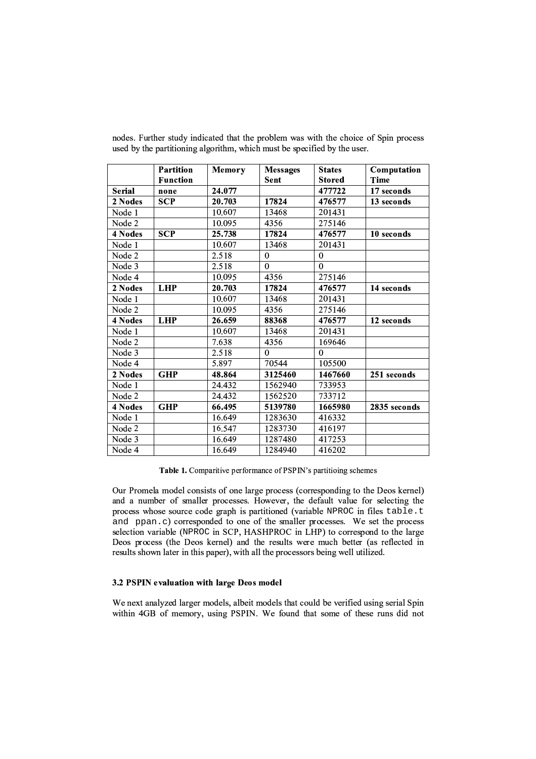|                | <b>Partition</b> | Memory  | <b>Messages</b> | <b>States</b>  | Computation  |
|----------------|------------------|---------|-----------------|----------------|--------------|
|                | <b>Function</b>  |         | <b>Sent</b>     | <b>Stored</b>  | <b>Time</b>  |
| <b>Serial</b>  | none             | 24.077  |                 | 477722         | 17 seconds   |
| 2 Nodes        | <b>SCP</b>       | 20.703  | 17824           | 476577         | 13 seconds   |
| Node 1         |                  | 10.607  | 13468           | 201431         |              |
| Node 2         |                  | 10.095  | 4356            | 275146         |              |
| 4 Nodes        | <b>SCP</b>       | 25.738  | 17824           | 476577         | 10 seconds   |
| Node 1         |                  | 10.607  | 13468           | 201431         |              |
| Node 2         |                  | 2.518   | $\bf{0}$        | $\bf{0}$       |              |
| Node 3         |                  | 2.518   | $\mathbf{0}$    | $\overline{0}$ |              |
| Node 4         |                  | 10.095  | 4356            | 275146         |              |
| 2 Nodes        | <b>LHP</b>       | 20.703  | 17824           | 476577         | 14 seconds   |
| Node 1         |                  | 10.607  | 13468           | 201431         |              |
| Node 2         |                  | 10.095  | 4356            | 275146         |              |
| <b>4 Nodes</b> | <b>LHP</b>       | 26.659  | 88368           | 476577         | 12 seconds   |
| Node 1         |                  | 10.607  | 13468           | 201431         |              |
| Node 2         |                  | 7.638   | 4356            | 169646         |              |
| Node 3         |                  | 2.518   | $\mathbf{0}$    | $\bf{0}$       |              |
| Node 4         |                  | 5.897   | 70544           | 105500         |              |
| 2 Nodes        | <b>GHP</b>       | 48.864  | 3125460         | 1467660        | 251 seconds  |
| Node 1         |                  | 24 4 32 | 1562940         | 733953         |              |
| Node 2         |                  | 24.432  | 1562520         | 733712         |              |
| 4 Nodes        | <b>GHP</b>       | 66.495  | 5139780         | 1665980        | 2835 seconds |
| Node 1         |                  | 16.649  | 1283630         | 416332         |              |
| Node 2         |                  | 16.547  | 1283730         | 416197         |              |
| Node 3         |                  | 16.649  | 1287480         | 417253         |              |
| Node 4         |                  | 16.649  | 1284940         | 416202         |              |

nodes. Further study indicated that the problem was with the choice of Spin process used by the partitioning algorithm, which must be specified by the user.

Table 1. Comparitive performance of PSPIN's partitioing schemes

Our Promela model consists of one large process (corresponding to the Deos kernel) and a number of smaller processes. However, the default value for selecting the process whose source code graph is partitioned (variable NPROC in files table.t and ppan.c) corresponded to one of the smaller processes. We set the process selection variable (NPROC in SCP, HASHPROC in LHP) to correspond to the large Deos process (the Deos kernel) and the results were much better (as reflected in results shown later in this paper), with all the processors being well utilized.

## 3.2 PSPIN evaluation with large Deos model

We next analyzed larger models, albeit models that could be verified using serial Spin within 4GB of memory, using PSPIN. We found that some of these runs did not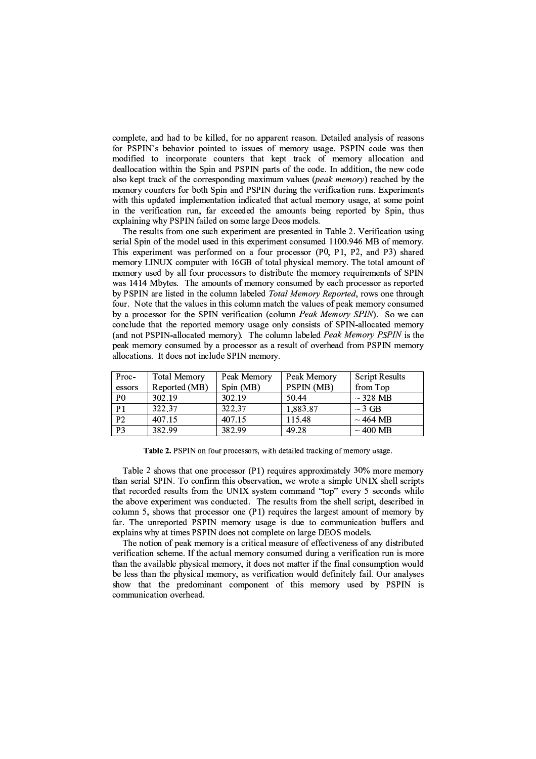complete, and had to be killed, for no apparent reason. Detailed analysis of reasons for PSPIN's behavior pointed to issues of memory usage. PSPIN code was then modified to incorporate counters that kept track of memory allocation and deallocation within the Spin and PSPIN parts of the code. In addition, the new code also kept track of the corresponding maximum values (peak memory) reached by the memory counters for both Spin and PSPIN during the verification runs. Experiments with this updated implementation indicated that actual memory usage, at some point in the verification run, far exceeded the amounts being reported by Spin, thus explaining why PSPIN failed on some large Deos models.

The results from one such experiment are presented in Table 2. Verification using serial Spin of the model used in this experiment consumed 1100.946 MB of memory. This experiment was performed on a four processor (P0, P1, P2, and P3) shared memory LINUX computer with 16GB of total physical memory. The total amount of memory used by all four processors to distribute the memory requirements of SPIN was 1414 Mbytes. The amounts of memory consumed by each processor as reported by PSPIN are listed in the column labeled Total Memory Reported, rows one through four. Note that the values in this column match the values of peak memory consumed by a processor for the SPIN verification (column Peak Memory SPIN). So we can conclude that the reported memory usage only consists of SPIN-allocated memory (and not PSPIN-allocated memory). The column labeled Peak Memory PSPIN is the peak memory consumed by a processor as a result of overhead from PSPIN memory allocations. It does not include SPIN memory.

| Proc-          | <b>Total Memory</b> | Peak Memory | Peak Memory | <b>Script Results</b> |
|----------------|---------------------|-------------|-------------|-----------------------|
| essors         | Reported (MB)       | Spin (MB)   | PSPIN (MB)  | from Top              |
| P <sub>0</sub> | 302.19              | 302.19      | 50.44       | $\sim$ 328 MB         |
| P <sub>1</sub> | 322.37              | 322.37      | 1,883.87    | $\sim$ 3 GB           |
| P <sub>2</sub> | 407.15              | 407.15      | 115.48      | $\sim$ 464 MB         |
| P <sub>3</sub> | 382.99              | 382.99      | 49.28       | $\sim$ 400 MB         |

Table 2. PSPIN on four processors, with detailed tracking of memory usage.

Table 2 shows that one processor  $(P1)$  requires approximately 30% more memory than serial SPIN. To confirm this observation, we wrote a simple UNIX shell scripts that recorded results from the UNIX system command "top" every 5 seconds while the above experiment was conducted. The results from the shell script, described in column 5, shows that processor one  $(P1)$  requires the largest amount of memory by far. The unreported PSPIN memory usage is due to communication buffers and explains why at times PSPIN does not complete on large DEOS models.

The notion of peak memory is a critical measure of effectiveness of any distributed verification scheme. If the actual memory consumed during a verification run is more than the available physical memory, it does not matter if the final consumption would be less than the physical memory, as verification would definitely fail. Our analyses show that the predominant component of this memory used by PSPIN is communication overhead.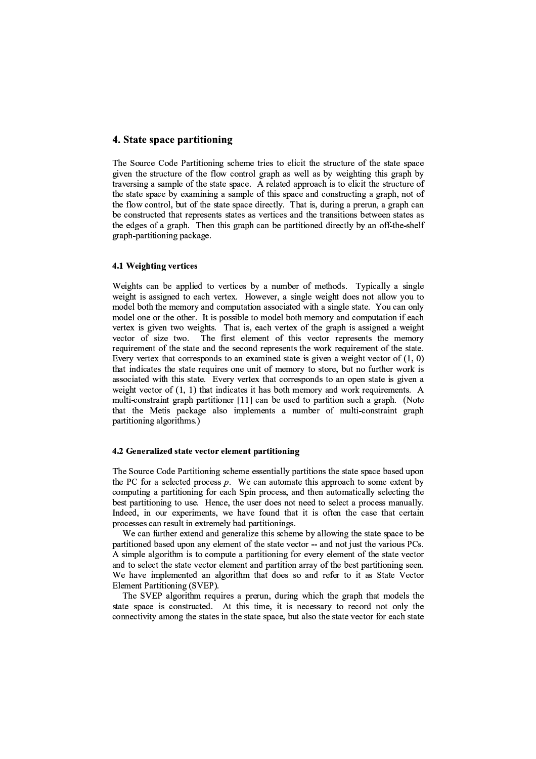## 4. State space partitioning

The Source Code Partitioning scheme tries to elicit the structure of the state space given the structure of the flow control graph as well as by weighting this graph by traversing a sample of the state space. A related approach is to elicit the structure of the state space by examining a sample of this space and constructing a graph, not of the flow control, but of the state space directly. That is, during a prerun, a graph can be constructed that represents states as vertices and the transitions between states as the edges of a graph. Then this graph can be partitioned directly by an off-the-shelf graph-partitioning package.

## 4.1 Weighting vertices

Weights can be applied to vertices by a number of methods. Typically a single weight is assigned to each vertex. However, a single weight does not allow you to model both the memory and computation associated with a single state. You can only model one or the other. It is possible to model both memory and computation if each vertex is given two weights. That is, each vertex of the graph is assigned a weight vector of size two. The first element of this vector represents the memory requirement of the state and the second represents the work requirement of the state. Every vertex that corresponds to an examined state is given a weight vector of  $(1, 0)$ that indicates the state requires one unit of memory to store, but no further work is associated with this state. Every vertex that corresponds to an open state is given a weight vector of  $(1, 1)$  that indicates it has both memory and work requirements. A multi-constraint graph partitioner [11] can be used to partition such a graph. (Note that the Metis package also implements a number of multi-constraint graph partitioning algorithms.)

### 4.2 Generalized state vector element partitioning

The Source Code Partitioning scheme essentially partitions the state space based upon the PC for a selected process  $p$ . We can automate this approach to some extent by computing a partitioning for each Spin process, and then automatically selecting the best partitioning to use. Hence, the user does not need to select a process manually. Indeed, in our experiments, we have found that it is often the case that certain processes can result in extremely bad partitionings.

We can further extend and generalize this scheme by allowing the state space to be partitioned based upon any element of the state vector -- and not just the various PCs. A simple algorithm is to compute a partitioning for every element of the state vector and to select the state vector element and partition array of the best partitioning seen. We have implemented an algorithm that does so and refer to it as State Vector Element Partitioning (SVEP).

The SVEP algorithm requires a prerun, during which the graph that models the state space is constructed. At this time, it is necessary to record not only the connectivity among the states in the state space, but also the state vector for each state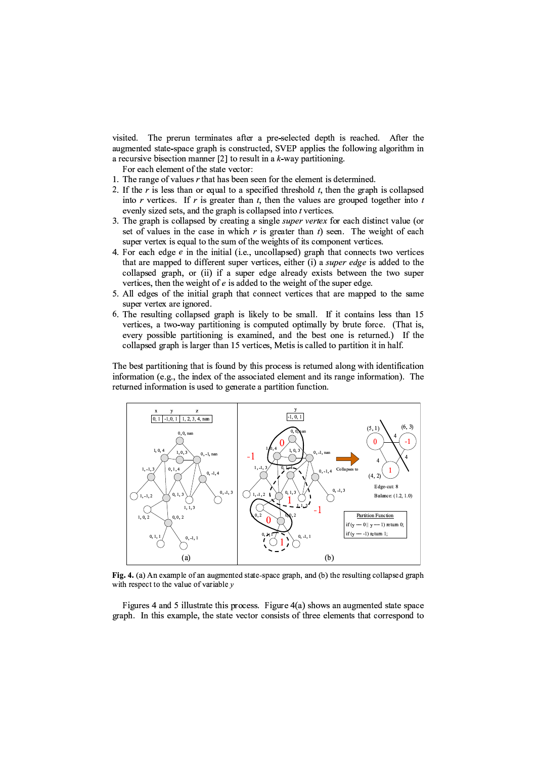visited. The prerun terminates after a pre-selected depth is reached. After the augmented state-space graph is constructed, SVEP applies the following algorithm in a recursive bisection manner [2] to result in a  $k$ -way partitioning.

For each element of the state vector:

- 1. The range of values  $r$  that has been seen for the element is determined.
- 2. If the r is less than or equal to a specified threshold  $t$ , then the graph is collapsed into r vertices. If r is greater than t, then the values are grouped together into t evenly sized sets, and the graph is collapsed into *t* vertices.
- 3. The graph is collapsed by creating a single *super vertex* for each distinct value (or set of values in the case in which  $r$  is greater than  $t$ ) seen. The weight of each super vertex is equal to the sum of the weights of its component vertices.
- 4. For each edge  $e$  in the initial (i.e., uncollapsed) graph that connects two vertices that are mapped to different super vertices, either (i) a *super edge* is added to the collapsed graph, or (ii) if a super edge already exists between the two super vertices, then the weight of  $e$  is added to the weight of the super edge.
- 5. All edges of the initial graph that connect vertices that are mapped to the same super vertex are ignored.
- 6. The resulting collapsed graph is likely to be small. If it contains less than 15 vertices, a two-way partitioning is computed optimally by brute force. (That is, every possible partitioning is examined, and the best one is returned.) If the collapsed graph is larger than 15 vertices, Metis is called to partition it in half.

The best partitioning that is found by this process is returned along with identification information (e.g., the index of the associated element and its range information). The returned information is used to generate a partition function.



Fig. 4. (a) An example of an augmented state-space graph, and (b) the resulting collapsed graph with respect to the value of variable  $y$ 

Figures 4 and 5 illustrate this process. Figure 4(a) shows an augmented state space graph. In this example, the state vector consists of three elements that correspond to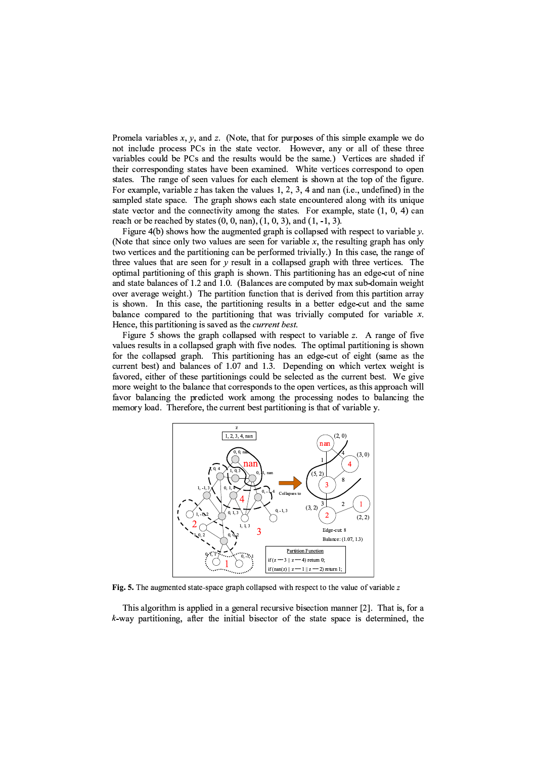Promela variables  $x, y$ , and  $z$ . (Note, that for purposes of this simple example we do not include process PCs in the state vector. However, any or all of these three variables could be PCs and the results would be the same.) Vertices are shaded if their corresponding states have been examined. White vertices correspond to open states. The range of seen values for each element is shown at the top of the figure. For example, variable z has taken the values 1, 2, 3, 4 and nan (i.e., undefined) in the sampled state space. The graph shows each state encountered along with its unique state vector and the connectivity among the states. For example, state  $(1, 0, 4)$  can reach or be reached by states  $(0, 0, \text{nan})$ ,  $(1, 0, 3)$ , and  $(1, -1, 3)$ .

Figure 4(b) shows how the augmented graph is collapsed with respect to variable  $y$ . (Note that since only two values are seen for variable  $x$ , the resulting graph has only two vertices and the partitioning can be performed trivially.) In this case, the range of three values that are seen for  $y$  result in a collapsed graph with three vertices. The optimal partitioning of this graph is shown. This partitioning has an edge-cut of nine and state balances of 1.2 and 1.0. (Balances are computed by max sub-domain weight over average weight.) The partition function that is derived from this partition array is shown. In this case, the partitioning results in a better edge-cut and the same balance compared to the partitioning that was trivially computed for variable  $x$ . Hence, this partitioning is saved as the *current best*.

Figure 5 shows the graph collapsed with respect to variable z. A range of five values results in a collapsed graph with five nodes. The optimal partitioning is shown for the collapsed graph. This partitioning has an edge-cut of eight (same as the current best) and balances of 1.07 and 1.3. Depending on which vertex weight is favored, either of these partitionings could be selected as the current best. We give more weight to the balance that corresponds to the open vertices, as this approach will favor balancing the predicted work among the processing nodes to balancing the memory load. Therefore, the current best partitioning is that of variable y.



Fig. 5. The augmented state-space graph collapsed with respect to the value of variable  $z$ 

This algorithm is applied in a general recursive bisection manner [2]. That is, for a k-way partitioning, after the initial bisector of the state space is determined, the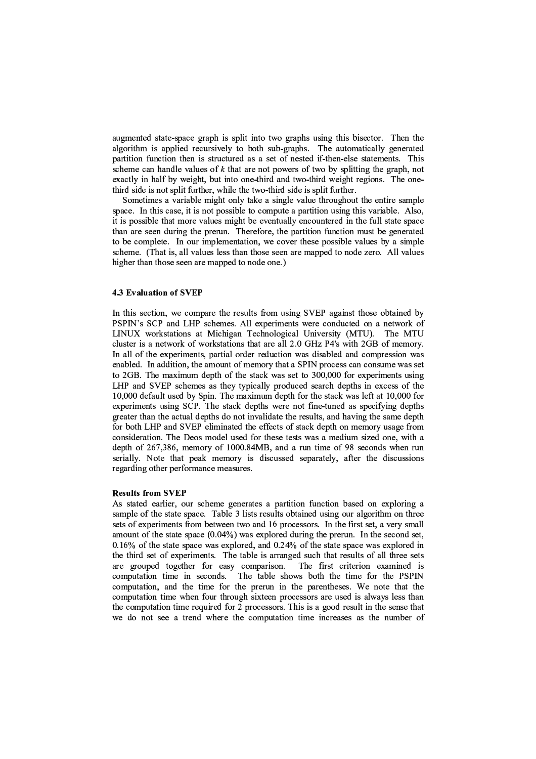augmented state-space graph is split into two graphs using this bisector. Then the algorithm is applied recursively to both sub-graphs. The automatically generated partition function then is structured as a set of nested if-then-else statements. This scheme can handle values of  $k$  that are not powers of two by splitting the graph, not exactly in half by weight, but into one-third and two-third weight regions. The onethird side is not split further, while the two-third side is split further.

Sometimes a variable might only take a single value throughout the entire sample space. In this case, it is not possible to compute a partition using this variable. Also, it is possible that more values might be eventually encountered in the full state space than are seen during the prerun. Therefore, the partition function must be generated to be complete. In our implementation, we cover these possible values by a simple scheme. (That is, all values less than those seen are mapped to node zero. All values higher than those seen are mapped to node one.)

#### **4.3 Evaluation of SVEP**

In this section, we compare the results from using SVEP against those obtained by PSPIN's SCP and LHP schemes. All experiments were conducted on a network of LINUX workstations at Michigan Technological University (MTU). The MTU cluster is a network of workstations that are all 2.0 GHz P4's with 2GB of memory. In all of the experiments, partial order reduction was disabled and compression was enabled. In addition, the amount of memory that a SPIN process can consume was set to 2GB. The maximum depth of the stack was set to 300,000 for experiments using LHP and SVEP schemes as they typically produced search depths in excess of the 10,000 default used by Spin. The maximum depth for the stack was left at 10,000 for experiments using SCP. The stack depths were not fine-tuned as specifying depths greater than the actual depths do not invalidate the results, and having the same depth for both LHP and SVEP eliminated the effects of stack depth on memory usage from consideration. The Deos model used for these tests was a medium sized one, with a depth of 267,386, memory of 1000.84MB, and a run time of 98 seconds when run serially. Note that peak memory is discussed separately, after the discussions regarding other performance measures.

#### **Results from SVEP**

As stated earlier, our scheme generates a partition function based on exploring a sample of the state space. Table 3 lists results obtained using our algorithm on three sets of experiments from between two and 16 processors. In the first set, a very small amount of the state space  $(0.04\%)$  was explored during the prerun. In the second set, 0.16% of the state space was explored, and 0.24% of the state space was explored in the third set of experiments. The table is arranged such that results of all three sets are grouped together for easy comparison. The first criterion examined is computation time in seconds. The table shows both the time for the PSPIN computation, and the time for the prerun in the parentheses. We note that the computation time when four through sixteen processors are used is always less than the computation time required for 2 processors. This is a good result in the sense that we do not see a trend where the computation time increases as the number of